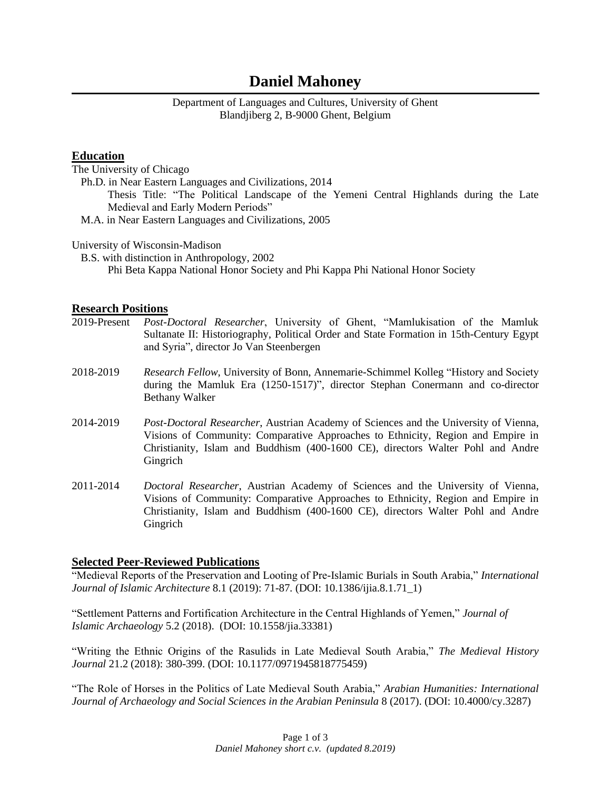# **Daniel Mahoney**

### Department of Languages and Cultures, University of Ghent Blandjiberg 2, B-9000 Ghent, Belgium

## **Education**

The University of Chicago

- Ph.D. in Near Eastern Languages and Civilizations, 2014
	- Thesis Title: "The Political Landscape of the Yemeni Central Highlands during the Late Medieval and Early Modern Periods"
- M.A. in Near Eastern Languages and Civilizations, 2005

University of Wisconsin-Madison

B.S. with distinction in Anthropology, 2002 Phi Beta Kappa National Honor Society and Phi Kappa Phi National Honor Society

# **Research Positions**<br>2019-Present *Post-l*

- 2019-Present *Post-Doctoral Researcher*, University of Ghent, "Mamlukisation of the Mamluk Sultanate II: Historiography, Political Order and State Formation in 15th-Century Egypt and Syria", director Jo Van Steenbergen
- 2018-2019 *Research Fellow*, University of Bonn, Annemarie-Schimmel Kolleg "History and Society during the Mamluk Era (1250-1517)", director Stephan Conermann and co-director Bethany Walker
- 2014-2019 *Post-Doctoral Researcher*, Austrian Academy of Sciences and the University of Vienna, Visions of Community: Comparative Approaches to Ethnicity, Region and Empire in Christianity, Islam and Buddhism (400-1600 CE), directors Walter Pohl and Andre Gingrich
- 2011-2014 *Doctoral Researcher*, Austrian Academy of Sciences and the University of Vienna, Visions of Community: Comparative Approaches to Ethnicity, Region and Empire in Christianity, Islam and Buddhism (400-1600 CE), directors Walter Pohl and Andre Gingrich

# **Selected Peer-Reviewed Publications**

"Medieval Reports of the Preservation and Looting of Pre-Islamic Burials in South Arabia," *International Journal of Islamic Architecture* 8.1 (2019): 71-87*.* (DOI: 10.1386/ijia.8.1.71\_1)

"Settlement Patterns and Fortification Architecture in the Central Highlands of Yemen," *Journal of Islamic Archaeology* 5.2 (2018). (DOI: 10.1558/jia.33381)

"Writing the Ethnic Origins of the Rasulids in Late Medieval South Arabia," *The Medieval History Journal* 21.2 (2018): 380-399. (DOI: 10.1177/0971945818775459)

"The Role of Horses in the Politics of Late Medieval South Arabia," *Arabian Humanities: International Journal of Archaeology and Social Sciences in the Arabian Peninsula* 8 (2017). (DOI: 10.4000/cy.3287)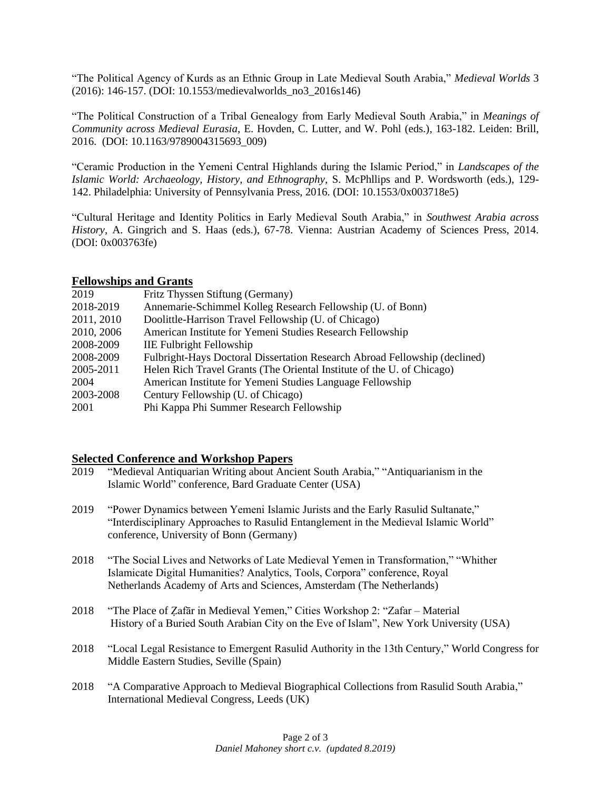"The Political Agency of Kurds as an Ethnic Group in Late Medieval South Arabia," *Medieval Worlds* 3 (2016): 146-157. (DOI: 10.1553/medievalworlds\_no3\_2016s146)

"The Political Construction of a Tribal Genealogy from Early Medieval South Arabia," in *Meanings of Community across Medieval Eurasia*, E. Hovden, C. Lutter, and W. Pohl (eds.), 163-182. Leiden: Brill, 2016. (DOI: 10.1163/9789004315693\_009)

"Ceramic Production in the Yemeni Central Highlands during the Islamic Period," in *Landscapes of the Islamic World: Archaeology, History, and Ethnography*, S. McPhllips and P. Wordsworth (eds.), 129- 142. Philadelphia: University of Pennsylvania Press, 2016. (DOI: 10.1553/0x003718e5)

"Cultural Heritage and Identity Politics in Early Medieval South Arabia," in *Southwest Arabia across History*, A. Gingrich and S. Haas (eds.), 67-78. Vienna: Austrian Academy of Sciences Press, 2014. (DOI: 0x003763fe)

### **Fellowships and Grants**

| 2019       | Fritz Thyssen Stiftung (Germany)                                           |
|------------|----------------------------------------------------------------------------|
| 2018-2019  | Annemarie-Schimmel Kolleg Research Fellowship (U. of Bonn)                 |
| 2011, 2010 | Doolittle-Harrison Travel Fellowship (U. of Chicago)                       |
| 2010, 2006 | American Institute for Yemeni Studies Research Fellowship                  |
| 2008-2009  | <b>IIE Fulbright Fellowship</b>                                            |
| 2008-2009  | Fulbright-Hays Doctoral Dissertation Research Abroad Fellowship (declined) |
| 2005-2011  | Helen Rich Travel Grants (The Oriental Institute of the U. of Chicago)     |
| 2004       | American Institute for Yemeni Studies Language Fellowship                  |
| 2003-2008  | Century Fellowship (U. of Chicago)                                         |
| 2001       | Phi Kappa Phi Summer Research Fellowship                                   |

### **Selected Conference and Workshop Papers**

| 2019 | "Medieval Antiquarian Writing about Ancient South Arabia," "Antiquarianism in the |
|------|-----------------------------------------------------------------------------------|
|      | Islamic World" conference, Bard Graduate Center (USA)                             |

- 2019 "Power Dynamics between Yemeni Islamic Jurists and the Early Rasulid Sultanate," "Interdisciplinary Approaches to Rasulid Entanglement in the Medieval Islamic World" conference, University of Bonn (Germany)
- 2018 "The Social Lives and Networks of Late Medieval Yemen in Transformation," "Whither Islamicate Digital Humanities? Analytics, Tools, Corpora" conference, Royal Netherlands Academy of Arts and Sciences, Amsterdam (The Netherlands)
- 2018 "The Place of Ẓafār in Medieval Yemen," Cities Workshop 2: "Zafar Material History of a Buried South Arabian City on the Eve of Islam", New York University (USA)
- 2018 "Local Legal Resistance to Emergent Rasulid Authority in the 13th Century," World Congress for Middle Eastern Studies, Seville (Spain)
- 2018 "A Comparative Approach to Medieval Biographical Collections from Rasulid South Arabia," International Medieval Congress, Leeds (UK)